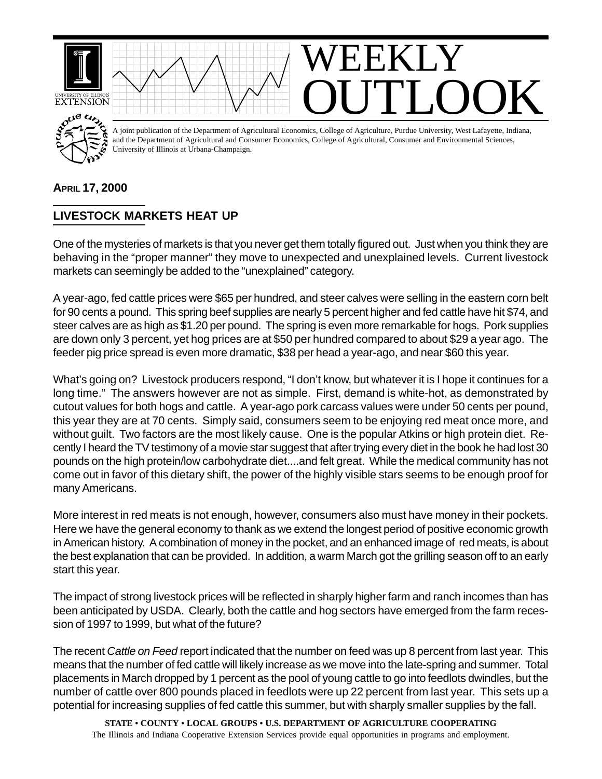

## **APRIL 17, 2000**

## **LIVESTOCK MARKETS HEAT UP**

One of the mysteries of markets is that you never get them totally figured out. Just when you think they are behaving in the "proper manner" they move to unexpected and unexplained levels. Current livestock markets can seemingly be added to the "unexplained" category.

A year-ago, fed cattle prices were \$65 per hundred, and steer calves were selling in the eastern corn belt for 90 cents a pound. This spring beef supplies are nearly 5 percent higher and fed cattle have hit \$74, and steer calves are as high as \$1.20 per pound. The spring is even more remarkable for hogs. Pork supplies are down only 3 percent, yet hog prices are at \$50 per hundred compared to about \$29 a year ago. The feeder pig price spread is even more dramatic, \$38 per head a year-ago, and near \$60 this year.

What's going on? Livestock producers respond, "I don't know, but whatever it is I hope it continues for a long time." The answers however are not as simple. First, demand is white-hot, as demonstrated by cutout values for both hogs and cattle. A year-ago pork carcass values were under 50 cents per pound, this year they are at 70 cents. Simply said, consumers seem to be enjoying red meat once more, and without guilt. Two factors are the most likely cause. One is the popular Atkins or high protein diet. Recently I heard the TV testimony of a movie star suggest that after trying every diet in the book he had lost 30 pounds on the high protein/low carbohydrate diet....and felt great. While the medical community has not come out in favor of this dietary shift, the power of the highly visible stars seems to be enough proof for many Americans.

More interest in red meats is not enough, however, consumers also must have money in their pockets. Here we have the general economy to thank as we extend the longest period of positive economic growth in American history. A combination of money in the pocket, and an enhanced image of red meats, is about the best explanation that can be provided. In addition, a warm March got the grilling season off to an early start this year.

The impact of strong livestock prices will be reflected in sharply higher farm and ranch incomes than has been anticipated by USDA. Clearly, both the cattle and hog sectors have emerged from the farm recession of 1997 to 1999, but what of the future?

The recent *Cattle on Feed* report indicated that the number on feed was up 8 percent from last year. This means that the number of fed cattle will likely increase as we move into the late-spring and summer. Total placements in March dropped by 1 percent as the pool of young cattle to go into feedlots dwindles, but the number of cattle over 800 pounds placed in feedlots were up 22 percent from last year. This sets up a potential for increasing supplies of fed cattle this summer, but with sharply smaller supplies by the fall.